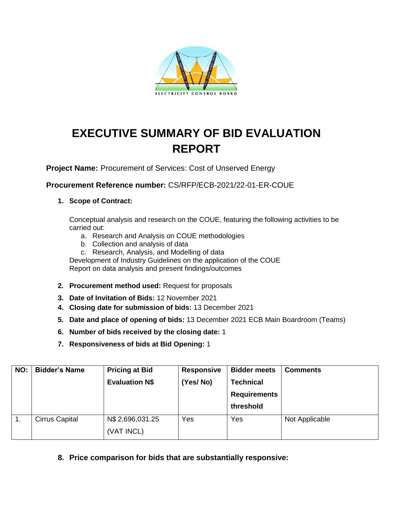

## **EXECUTIVE SUMMARY OF BID EVALUATION REPORT**

**Project Name:** Procurement of Services: Cost of Unserved Energy

**Procurement Reference number:** CS/RFP/ECB-2021/22-01-ER-COUE

## **1. Scope of Contract:**

Conceptual analysis and research on the COUE, featuring the following activities to be carried out:

- a. Research and Analysis on COUE methodologies
- b. Collection and analysis of data
- c. Research, Analysis, and Modelling of data

Development of Industry Guidelines on the application of the COUE Report on data analysis and present findings/outcomes

- **2. Procurement method used:** Request for proposals
- **3. Date of Invitation of Bids:** 12 November 2021
- **4. Closing date for submission of bids:** 13 December 2021
- **5. Date and place of opening of bids:** 13 December 2021 ECB Main Boardroom (Teams)
- **6. Number of bids received by the closing date:** 1
- **7. Responsiveness of bids at Bid Opening:** 1

| NO: | <b>Bidder's Name</b>  | <b>Pricing at Bid</b><br><b>Evaluation N\$</b> | <b>Responsive</b><br>(Yes/No) | <b>Bidder meets</b><br><b>Technical</b><br><b>Requirements</b><br>threshold | <b>Comments</b> |
|-----|-----------------------|------------------------------------------------|-------------------------------|-----------------------------------------------------------------------------|-----------------|
|     | <b>Cirrus Capital</b> | N\$ 2,696,031.25<br>(VAT INCL)                 | Yes                           | Yes                                                                         | Not Applicable  |

## **8. Price comparison for bids that are substantially responsive:**